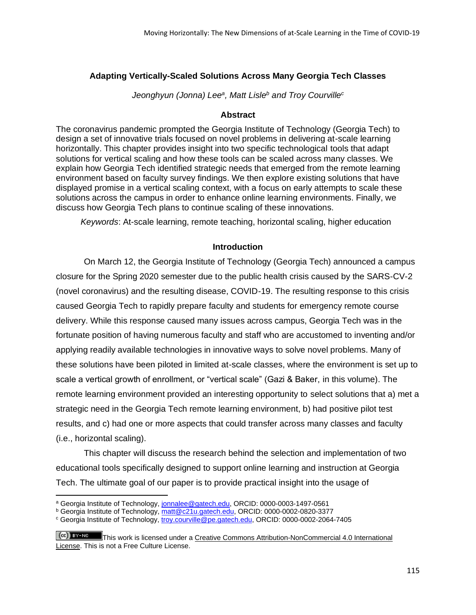## **Adapting Vertically-Scaled Solutions Across Many Georgia Tech Classes**

*Jeonghyun (Jonna) Lee<sup>a</sup> , Matt Lisle<sup>b</sup> and Troy Courville<sup>c</sup>*

## **Abstract**

The coronavirus pandemic prompted the Georgia Institute of Technology (Georgia Tech) to design a set of innovative trials focused on novel problems in delivering at-scale learning horizontally. This chapter provides insight into two specific technological tools that adapt solutions for vertical scaling and how these tools can be scaled across many classes. We explain how Georgia Tech identified strategic needs that emerged from the remote learning environment based on faculty survey findings. We then explore existing solutions that have displayed promise in a vertical scaling context, with a focus on early attempts to scale these solutions across the campus in order to enhance online learning environments. Finally, we discuss how Georgia Tech plans to continue scaling of these innovations.

*Keywords*: At-scale learning, remote teaching, horizontal scaling, higher education

## **Introduction**

On March 12, the Georgia Institute of Technology (Georgia Tech) announced a campus closure for the Spring 2020 semester due to the public health crisis caused by the SARS-CV-2 (novel coronavirus) and the resulting disease, COVID-19. The resulting response to this crisis caused Georgia Tech to rapidly prepare faculty and students for emergency remote course delivery. While this response caused many issues across campus, Georgia Tech was in the fortunate position of having numerous faculty and staff who are accustomed to inventing and/or applying readily available technologies in innovative ways to solve novel problems. Many of these solutions have been piloted in limited at-scale classes, where the environment is set up to scale a vertical growth of enrollment, or "vertical scale" (Gazi & Baker, in this volume). The remote learning environment provided an interesting opportunity to select solutions that a) met a strategic need in the Georgia Tech remote learning environment, b) had positive pilot test results, and c) had one or more aspects that could transfer across many classes and faculty (i.e., horizontal scaling).

This chapter will discuss the research behind the selection and implementation of two educational tools specifically designed to support online learning and instruction at Georgia Tech. The ultimate goal of our paper is to provide practical insight into the usage of

a Georgia Institute of Technology, [jonnalee@gatech.edu,](mailto:jonnalee@gatech.edu) ORCID: 0000-0003-1497-0561

**b Georgia Institute of Technology, [matt@c21u.gatech.edu,](mailto:matt@c21u.gatech.edu) ORCID: 0000-0002-0820-3377** 

<sup>&</sup>lt;sup>c</sup> Georgia Institute of Technology[, troy.courville@pe.gatech.edu,](mailto:troy.courville@pe.gatech.edu) ORCID: 0000-0002-2064-7405

This work is licensed under a Creative Commons Attribution-NonCommercial 4.0 International [License.](https://creativecommons.org/licenses/by-nc/4.0/) This is not a Free Culture License.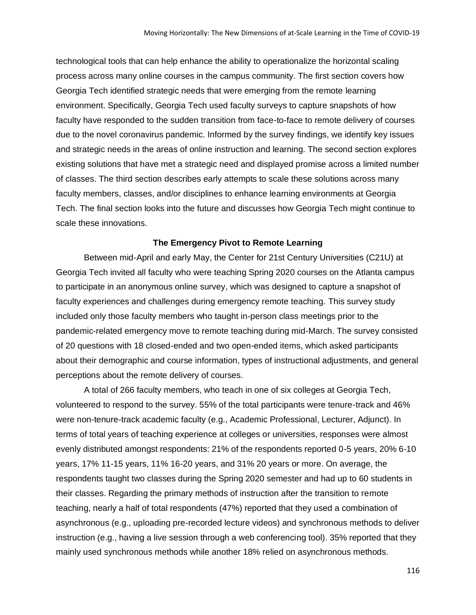technological tools that can help enhance the ability to operationalize the horizontal scaling process across many online courses in the campus community. The first section covers how Georgia Tech identified strategic needs that were emerging from the remote learning environment. Specifically, Georgia Tech used faculty surveys to capture snapshots of how faculty have responded to the sudden transition from face-to-face to remote delivery of courses due to the novel coronavirus pandemic. Informed by the survey findings, we identify key issues and strategic needs in the areas of online instruction and learning. The second section explores existing solutions that have met a strategic need and displayed promise across a limited number of classes. The third section describes early attempts to scale these solutions across many faculty members, classes, and/or disciplines to enhance learning environments at Georgia Tech. The final section looks into the future and discusses how Georgia Tech might continue to scale these innovations.

## **The Emergency Pivot to Remote Learning**

Between mid-April and early May, the Center for 21st Century Universities (C21U) at Georgia Tech invited all faculty who were teaching Spring 2020 courses on the Atlanta campus to participate in an anonymous online survey, which was designed to capture a snapshot of faculty experiences and challenges during emergency remote teaching. This survey study included only those faculty members who taught in-person class meetings prior to the pandemic-related emergency move to remote teaching during mid-March. The survey consisted of 20 questions with 18 closed-ended and two open-ended items, which asked participants about their demographic and course information, types of instructional adjustments, and general perceptions about the remote delivery of courses.

A total of 266 faculty members, who teach in one of six colleges at Georgia Tech, volunteered to respond to the survey. 55% of the total participants were tenure-track and 46% were non-tenure-track academic faculty (e.g., Academic Professional, Lecturer, Adjunct). In terms of total years of teaching experience at colleges or universities, responses were almost evenly distributed amongst respondents: 21% of the respondents reported 0-5 years, 20% 6-10 years, 17% 11-15 years, 11% 16-20 years, and 31% 20 years or more. On average, the respondents taught two classes during the Spring 2020 semester and had up to 60 students in their classes. Regarding the primary methods of instruction after the transition to remote teaching, nearly a half of total respondents (47%) reported that they used a combination of asynchronous (e.g., uploading pre-recorded lecture videos) and synchronous methods to deliver instruction (e.g., having a live session through a web conferencing tool). 35% reported that they mainly used synchronous methods while another 18% relied on asynchronous methods.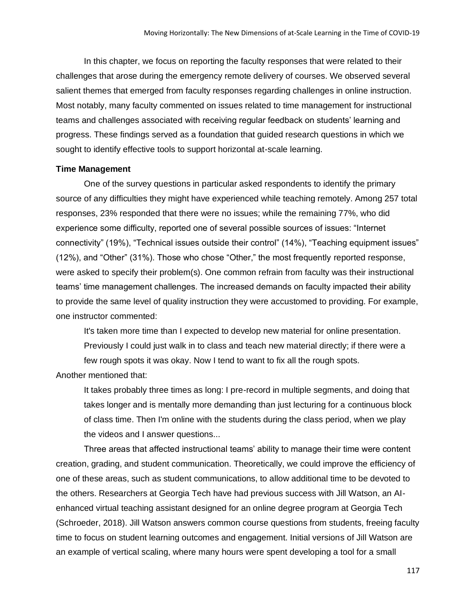In this chapter, we focus on reporting the faculty responses that were related to their challenges that arose during the emergency remote delivery of courses. We observed several salient themes that emerged from faculty responses regarding challenges in online instruction. Most notably, many faculty commented on issues related to time management for instructional teams and challenges associated with receiving regular feedback on students' learning and progress. These findings served as a foundation that guided research questions in which we sought to identify effective tools to support horizontal at-scale learning.

#### **Time Management**

One of the survey questions in particular asked respondents to identify the primary source of any difficulties they might have experienced while teaching remotely. Among 257 total responses, 23% responded that there were no issues; while the remaining 77%, who did experience some difficulty, reported one of several possible sources of issues: "Internet connectivity" (19%), "Technical issues outside their control" (14%), "Teaching equipment issues" (12%), and "Other" (31%). Those who chose "Other," the most frequently reported response, were asked to specify their problem(s). One common refrain from faculty was their instructional teams' time management challenges. The increased demands on faculty impacted their ability to provide the same level of quality instruction they were accustomed to providing. For example, one instructor commented:

It's taken more time than I expected to develop new material for online presentation. Previously I could just walk in to class and teach new material directly; if there were a few rough spots it was okay. Now I tend to want to fix all the rough spots.

Another mentioned that:

It takes probably three times as long: I pre-record in multiple segments, and doing that takes longer and is mentally more demanding than just lecturing for a continuous block of class time. Then I'm online with the students during the class period, when we play the videos and I answer questions...

Three areas that affected instructional teams' ability to manage their time were content creation, grading, and student communication. Theoretically, we could improve the efficiency of one of these areas, such as student communications, to allow additional time to be devoted to the others. Researchers at Georgia Tech have had previous success with Jill Watson, an AIenhanced virtual teaching assistant designed for an online degree program at Georgia Tech (Schroeder, 2018). Jill Watson answers common course questions from students, freeing faculty time to focus on student learning outcomes and engagement. Initial versions of Jill Watson are an example of vertical scaling, where many hours were spent developing a tool for a small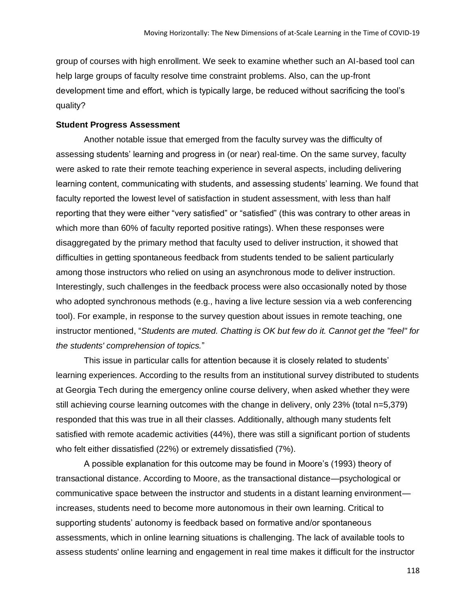group of courses with high enrollment. We seek to examine whether such an AI-based tool can help large groups of faculty resolve time constraint problems. Also, can the up-front development time and effort, which is typically large, be reduced without sacrificing the tool's quality?

## **Student Progress Assessment**

Another notable issue that emerged from the faculty survey was the difficulty of assessing students' learning and progress in (or near) real-time. On the same survey, faculty were asked to rate their remote teaching experience in several aspects, including delivering learning content, communicating with students, and assessing students' learning. We found that faculty reported the lowest level of satisfaction in student assessment, with less than half reporting that they were either "very satisfied" or "satisfied" (this was contrary to other areas in which more than 60% of faculty reported positive ratings). When these responses were disaggregated by the primary method that faculty used to deliver instruction, it showed that difficulties in getting spontaneous feedback from students tended to be salient particularly among those instructors who relied on using an asynchronous mode to deliver instruction. Interestingly, such challenges in the feedback process were also occasionally noted by those who adopted synchronous methods (e.g., having a live lecture session via a web conferencing tool). For example, in response to the survey question about issues in remote teaching, one instructor mentioned, "*Students are muted. Chatting is OK but few do it. Cannot get the "feel" for the students' comprehension of topics.*"

This issue in particular calls for attention because it is closely related to students' learning experiences. According to the results from an institutional survey distributed to students at Georgia Tech during the emergency online course delivery, when asked whether they were still achieving course learning outcomes with the change in delivery, only 23% (total n=5,379) responded that this was true in all their classes. Additionally, although many students felt satisfied with remote academic activities (44%), there was still a significant portion of students who felt either dissatisfied (22%) or extremely dissatisfied (7%).

A possible explanation for this outcome may be found in Moore's (1993) theory of transactional distance. According to Moore, as the transactional distance—psychological or communicative space between the instructor and students in a distant learning environment increases, students need to become more autonomous in their own learning. Critical to supporting students' autonomy is feedback based on formative and/or spontaneous assessments, which in online learning situations is challenging. The lack of available tools to assess students' online learning and engagement in real time makes it difficult for the instructor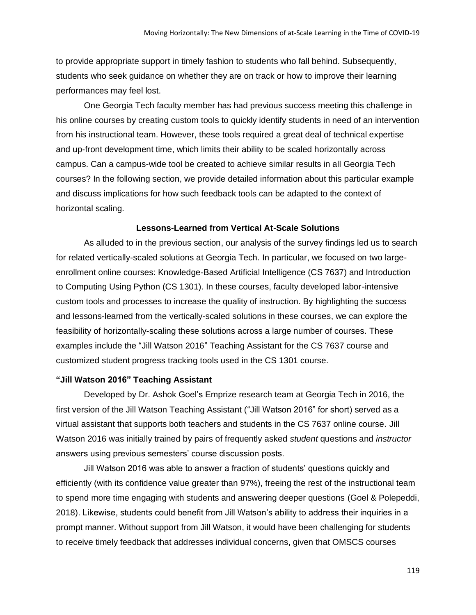to provide appropriate support in timely fashion to students who fall behind. Subsequently, students who seek guidance on whether they are on track or how to improve their learning performances may feel lost.

One Georgia Tech faculty member has had previous success meeting this challenge in his online courses by creating custom tools to quickly identify students in need of an intervention from his instructional team. However, these tools required a great deal of technical expertise and up-front development time, which limits their ability to be scaled horizontally across campus. Can a campus-wide tool be created to achieve similar results in all Georgia Tech courses? In the following section, we provide detailed information about this particular example and discuss implications for how such feedback tools can be adapted to the context of horizontal scaling.

## **Lessons-Learned from Vertical At-Scale Solutions**

As alluded to in the previous section, our analysis of the survey findings led us to search for related vertically-scaled solutions at Georgia Tech. In particular, we focused on two largeenrollment online courses: Knowledge-Based Artificial Intelligence (CS 7637) and Introduction to Computing Using Python (CS 1301). In these courses, faculty developed labor-intensive custom tools and processes to increase the quality of instruction. By highlighting the success and lessons-learned from the vertically-scaled solutions in these courses, we can explore the feasibility of horizontally-scaling these solutions across a large number of courses. These examples include the "Jill Watson 2016" Teaching Assistant for the CS 7637 course and customized student progress tracking tools used in the CS 1301 course.

### **"Jill Watson 2016" Teaching Assistant**

Developed by Dr. Ashok Goel's Emprize research team at Georgia Tech in 2016, the first version of the Jill Watson Teaching Assistant ("Jill Watson 2016" for short) served as a virtual assistant that supports both teachers and students in the CS 7637 online course. Jill Watson 2016 was initially trained by pairs of frequently asked *student* questions and *instructor*  answers using previous semesters' course discussion posts.

Jill Watson 2016 was able to answer a fraction of students' questions quickly and efficiently (with its confidence value greater than 97%), freeing the rest of the instructional team to spend more time engaging with students and answering deeper questions (Goel & Polepeddi, 2018). Likewise, students could benefit from Jill Watson's ability to address their inquiries in a prompt manner. Without support from Jill Watson, it would have been challenging for students to receive timely feedback that addresses individual concerns, given that OMSCS courses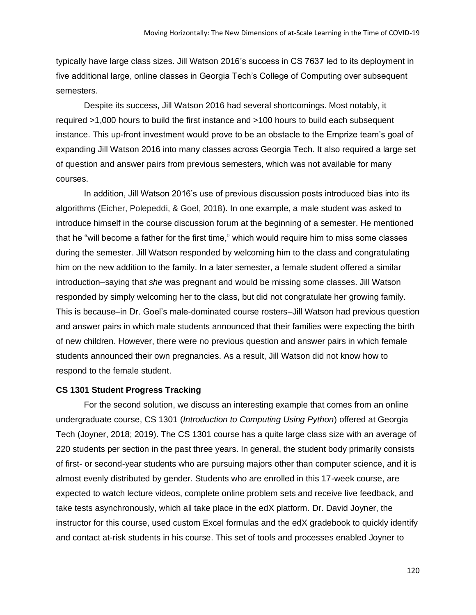typically have large class sizes. Jill Watson 2016's success in CS 7637 led to its deployment in five additional large, online classes in Georgia Tech's College of Computing over subsequent semesters.

Despite its success, Jill Watson 2016 had several shortcomings. Most notably, it required >1,000 hours to build the first instance and >100 hours to build each subsequent instance. This up-front investment would prove to be an obstacle to the Emprize team's goal of expanding Jill Watson 2016 into many classes across Georgia Tech. It also required a large set of question and answer pairs from previous semesters, which was not available for many courses.

In addition, Jill Watson 2016's use of previous discussion posts introduced bias into its algorithms (Eicher, Polepeddi, & Goel, 2018). In one example, a male student was asked to introduce himself in the course discussion forum at the beginning of a semester. He mentioned that he "will become a father for the first time," which would require him to miss some classes during the semester. Jill Watson responded by welcoming him to the class and congratulating him on the new addition to the family. In a later semester, a female student offered a similar introduction–saying that *she* was pregnant and would be missing some classes. Jill Watson responded by simply welcoming her to the class, but did not congratulate her growing family. This is because–in Dr. Goel's male-dominated course rosters–Jill Watson had previous question and answer pairs in which male students announced that their families were expecting the birth of new children. However, there were no previous question and answer pairs in which female students announced their own pregnancies. As a result, Jill Watson did not know how to respond to the female student.

## **CS 1301 Student Progress Tracking**

For the second solution, we discuss an interesting example that comes from an online undergraduate course, CS 1301 (*Introduction to Computing Using Python*) offered at Georgia Tech (Joyner, 2018; 2019). The CS 1301 course has a quite large class size with an average of 220 students per section in the past three years. In general, the student body primarily consists of first- or second-year students who are pursuing majors other than computer science, and it is almost evenly distributed by gender. Students who are enrolled in this 17-week course, are expected to watch lecture videos, complete online problem sets and receive live feedback, and take tests asynchronously, which all take place in the edX platform. Dr. David Joyner, the instructor for this course, used custom Excel formulas and the edX gradebook to quickly identify and contact at-risk students in his course. This set of tools and processes enabled Joyner to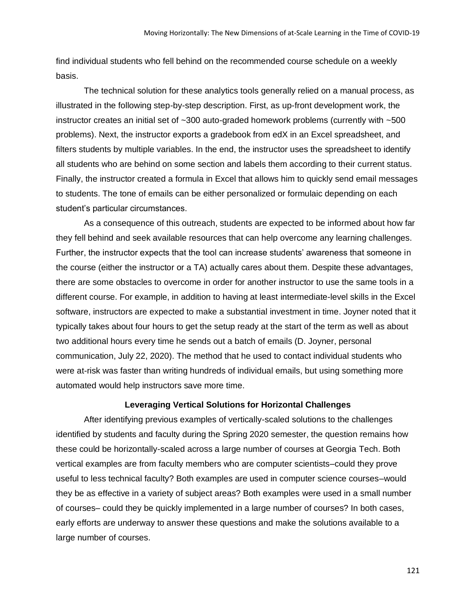find individual students who fell behind on the recommended course schedule on a weekly basis.

The technical solution for these analytics tools generally relied on a manual process, as illustrated in the following step-by-step description. First, as up-front development work, the instructor creates an initial set of  $\sim$ 300 auto-graded homework problems (currently with  $\sim$ 500 problems). Next, the instructor exports a gradebook from edX in an Excel spreadsheet, and filters students by multiple variables. In the end, the instructor uses the spreadsheet to identify all students who are behind on some section and labels them according to their current status. Finally, the instructor created a formula in Excel that allows him to quickly send email messages to students. The tone of emails can be either personalized or formulaic depending on each student's particular circumstances.

As a consequence of this outreach, students are expected to be informed about how far they fell behind and seek available resources that can help overcome any learning challenges. Further, the instructor expects that the tool can increase students' awareness that someone in the course (either the instructor or a TA) actually cares about them. Despite these advantages, there are some obstacles to overcome in order for another instructor to use the same tools in a different course. For example, in addition to having at least intermediate-level skills in the Excel software, instructors are expected to make a substantial investment in time. Joyner noted that it typically takes about four hours to get the setup ready at the start of the term as well as about two additional hours every time he sends out a batch of emails (D. Joyner, personal communication, July 22, 2020). The method that he used to contact individual students who were at-risk was faster than writing hundreds of individual emails, but using something more automated would help instructors save more time.

#### **Leveraging Vertical Solutions for Horizontal Challenges**

After identifying previous examples of vertically-scaled solutions to the challenges identified by students and faculty during the Spring 2020 semester, the question remains how these could be horizontally-scaled across a large number of courses at Georgia Tech. Both vertical examples are from faculty members who are computer scientists–could they prove useful to less technical faculty? Both examples are used in computer science courses–would they be as effective in a variety of subject areas? Both examples were used in a small number of courses– could they be quickly implemented in a large number of courses? In both cases, early efforts are underway to answer these questions and make the solutions available to a large number of courses.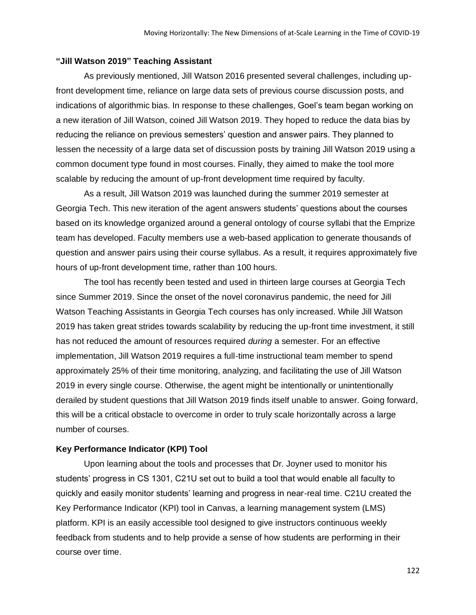## **"Jill Watson 2019" Teaching Assistant**

As previously mentioned, Jill Watson 2016 presented several challenges, including upfront development time, reliance on large data sets of previous course discussion posts, and indications of algorithmic bias. In response to these challenges, Goel's team began working on a new iteration of Jill Watson, coined Jill Watson 2019. They hoped to reduce the data bias by reducing the reliance on previous semesters' question and answer pairs. They planned to lessen the necessity of a large data set of discussion posts by training Jill Watson 2019 using a common document type found in most courses. Finally, they aimed to make the tool more scalable by reducing the amount of up-front development time required by faculty.

As a result, Jill Watson 2019 was launched during the summer 2019 semester at Georgia Tech. This new iteration of the agent answers students' questions about the courses based on its knowledge organized around a general ontology of course syllabi that the Emprize team has developed. Faculty members use a web-based application to generate thousands of question and answer pairs using their course syllabus. As a result, it requires approximately five hours of up-front development time, rather than 100 hours.

The tool has recently been tested and used in thirteen large courses at Georgia Tech since Summer 2019. Since the onset of the novel coronavirus pandemic, the need for Jill Watson Teaching Assistants in Georgia Tech courses has only increased. While Jill Watson 2019 has taken great strides towards scalability by reducing the up-front time investment, it still has not reduced the amount of resources required *during* a semester. For an effective implementation, Jill Watson 2019 requires a full-time instructional team member to spend approximately 25% of their time monitoring, analyzing, and facilitating the use of Jill Watson 2019 in every single course. Otherwise, the agent might be intentionally or unintentionally derailed by student questions that Jill Watson 2019 finds itself unable to answer. Going forward, this will be a critical obstacle to overcome in order to truly scale horizontally across a large number of courses.

## **Key Performance Indicator (KPI) Tool**

Upon learning about the tools and processes that Dr. Joyner used to monitor his students' progress in CS 1301, C21U set out to build a tool that would enable all faculty to quickly and easily monitor students' learning and progress in near-real time. C21U created the Key Performance Indicator (KPI) tool in Canvas, a learning management system (LMS) platform. KPI is an easily accessible tool designed to give instructors continuous weekly feedback from students and to help provide a sense of how students are performing in their course over time.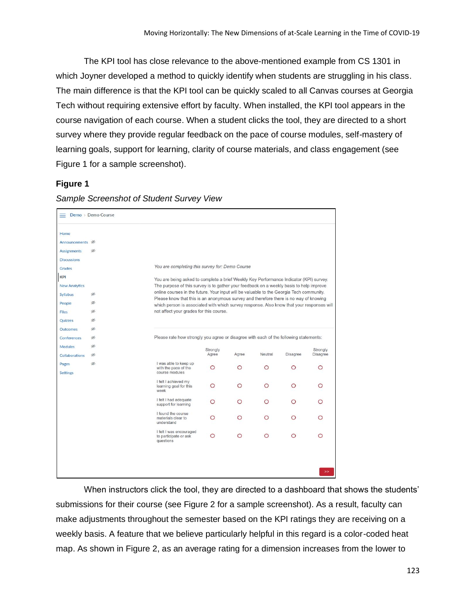The KPI tool has close relevance to the above-mentioned example from CS 1301 in which Joyner developed a method to quickly identify when students are struggling in his class. The main difference is that the KPI tool can be quickly scaled to all Canvas courses at Georgia Tech without requiring extensive effort by faculty. When installed, the KPI tool appears in the course navigation of each course. When a student clicks the tool, they are directed to a short survey where they provide regular feedback on the pace of course modules, self-mastery of learning goals, support for learning, clarity of course materials, and class engagement (see Figure 1 for a sample screenshot).

## **Figure 1**

| Demo > Demo Course         |                |                                                                                                                                                                                   |                   |       |         |          |                      |  |  |  |  |
|----------------------------|----------------|-----------------------------------------------------------------------------------------------------------------------------------------------------------------------------------|-------------------|-------|---------|----------|----------------------|--|--|--|--|
| Home                       |                |                                                                                                                                                                                   |                   |       |         |          |                      |  |  |  |  |
| Announcements <sup>®</sup> |                |                                                                                                                                                                                   |                   |       |         |          |                      |  |  |  |  |
| <b>Assignments</b>         | B              |                                                                                                                                                                                   |                   |       |         |          |                      |  |  |  |  |
| <b>Discussions</b>         |                |                                                                                                                                                                                   |                   |       |         |          |                      |  |  |  |  |
| <b>Grades</b>              |                | You are completing this survey for: Demo Course                                                                                                                                   |                   |       |         |          |                      |  |  |  |  |
| KPI                        |                |                                                                                                                                                                                   |                   |       |         |          |                      |  |  |  |  |
| <b>New Analytics</b>       |                | You are being asked to complete a brief Weekly Key Performance Indicator (KPI) survey.<br>The purpose of this survey is to gather your feedback on a weekly basis to help improve |                   |       |         |          |                      |  |  |  |  |
| <b>Syllabus</b>            | B              | online courses in the future. Your input will be valuable to the Georgia Tech community.                                                                                          |                   |       |         |          |                      |  |  |  |  |
| People                     | B              | Please know that this is an anonymous survey and therefore there is no way of knowing                                                                                             |                   |       |         |          |                      |  |  |  |  |
| Files                      | Ø              | which person is associated with which survey response. Also know that your responses will<br>not affect your grades for this course.                                              |                   |       |         |          |                      |  |  |  |  |
| Quizzes                    | Ø              |                                                                                                                                                                                   |                   |       |         |          |                      |  |  |  |  |
| <b>Outcomes</b>            | Ø              |                                                                                                                                                                                   |                   |       |         |          |                      |  |  |  |  |
| Conferences                | B)             | Please rate how strongly you agree or disagree with each of the following statements:                                                                                             |                   |       |         |          |                      |  |  |  |  |
| Modules                    | Ø              |                                                                                                                                                                                   |                   |       |         |          |                      |  |  |  |  |
|                            | $\circledcirc$ |                                                                                                                                                                                   | Strongly<br>Agree | Agree | Neutral | Disagree | Strongly<br>Disagree |  |  |  |  |
| Collaborations             | $\circledcirc$ | I was able to keep up                                                                                                                                                             |                   |       |         |          |                      |  |  |  |  |
| Pages<br><b>Settings</b>   |                | with the pace of the<br>course modules                                                                                                                                            | O                 | O     | ∩       | O        | O                    |  |  |  |  |
|                            |                | I felt I achieved my<br>learning goal for this<br>week                                                                                                                            | O                 | ∩     | ∩       | ◯        | ∩                    |  |  |  |  |
|                            |                | I felt I had adequate<br>support for learning                                                                                                                                     | O                 | ∩     | ∩       | O        | ∩                    |  |  |  |  |
|                            |                | I found the course<br>materials clear to<br>understand                                                                                                                            | O                 | ∩     |         | O        |                      |  |  |  |  |
|                            |                | I felt I was encouraged<br>to participate or ask<br>questions                                                                                                                     | $\circ$           | O     | $\circ$ | $\circ$  | O                    |  |  |  |  |
|                            |                |                                                                                                                                                                                   |                   |       |         |          |                      |  |  |  |  |
|                            |                |                                                                                                                                                                                   |                   |       |         |          | $>\,>$               |  |  |  |  |

*Sample Screenshot of Student Survey View*

When instructors click the tool, they are directed to a dashboard that shows the students' submissions for their course (see Figure 2 for a sample screenshot). As a result, faculty can make adjustments throughout the semester based on the KPI ratings they are receiving on a weekly basis. A feature that we believe particularly helpful in this regard is a color-coded heat map. As shown in Figure 2, as an average rating for a dimension increases from the lower to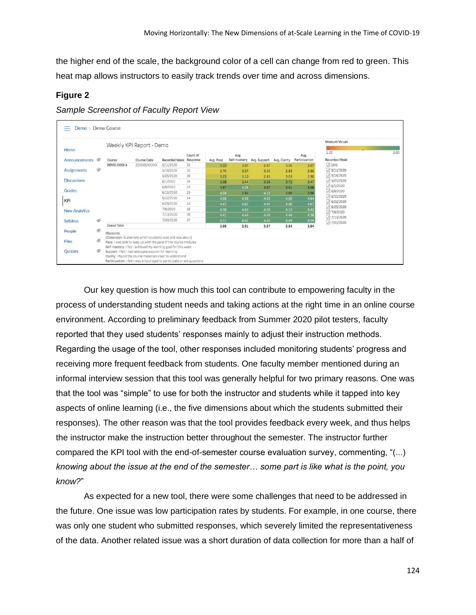the higher end of the scale, the background color of a cell can change from red to green. This heat map allows instructors to easily track trends over time and across dimensions.

## **Figure 2**

*Sample Screenshot of Faculty Report View*

|                       |                | Weekly KPI Report - Demo |                                                                 |                                                           |          |           |      |                           | Measure Values |                       |                                |
|-----------------------|----------------|--------------------------|-----------------------------------------------------------------|-----------------------------------------------------------|----------|-----------|------|---------------------------|----------------|-----------------------|--------------------------------|
| Home<br>Announcements |                | Course                   | Course Code                                                     | Recorded Week Response                                    | Count of | Avg. Pace | Avg. | Self-mastery Avg. Support | Avg. Clarity   | Avg.<br>Participation | 1.00<br><b>Recorded Week</b>   |
|                       |                | DEMO-XXXX-A              | 202005/XXXXX                                                    | 5/11/2020                                                 | 15       | 3.33      | 3.07 | 2.87                      | 3.00           | 3.07                  | $\sqrt{}$ (All)                |
| <b>Assignments</b>    | $\circledcirc$ |                          |                                                                 | 5/18/2020                                                 | 30       | 2.70      | 3.07 | 3.00                      | 2.83           | 2.90                  | $J$ 5/11/2020                  |
|                       |                |                          |                                                                 | 5/25/2020                                                 | 39       | 3.23      | 3.10 | 2.83                      | 3.03           | 2.90                  | $J$ 5/18/2020                  |
| <b>Discussions</b>    |                |                          |                                                                 | 6/1/2020                                                  | 34       | 3.68      | 3.44 | 3.68                      | 3.71           | 3.47                  | $J$ 5/25/2020                  |
|                       |                |                          |                                                                 | 6/8/2020                                                  | 23       | 3.87      | 4.26 | 3.87                      | 3.91           | 3.96                  | 76/1/2020                      |
| Grades                |                |                          |                                                                 | 6/15/2020                                                 | 25       | 4.04      | 3.92 | 4.19                      | 3.88           | 3.96                  | $\sqrt{6/8/2020}$              |
| KPI                   |                |                          |                                                                 | 6/22/2020                                                 | 14       | 4.50      | 4.43 | 4.50                      | 4.50           | 4.64                  | $\sqrt{6/15/2020}$             |
|                       |                |                          |                                                                 | 6/29/2020                                                 | 15       | 4.47      | 4.67 | 4.80                      | 4.40           | 4.67                  | $\sqrt{6/22/2020}$             |
| <b>New Analytics</b>  |                |                          |                                                                 | 7/6/2020                                                  | 18       | 4.58      | 4.63 | 4.58                      | 4.53           | 4.42                  | $\sqrt{6/29/2020}$             |
|                       |                |                          |                                                                 | 7/13/2020                                                 | 38       | 4.41      | 4.44 | 4.49                      | 4.44           | 4.36                  | 7/6/2020<br>$\sqrt{7/13/2020}$ |
| <b>Syllabus</b>       | Ø              |                          |                                                                 | 7/20/2020                                                 | 37       | 4.51      | 4.62 | 4.46                      | 4.49           | 4.59                  | 7/20/2020                      |
|                       |                | <b>Grand Total</b>       |                                                                 |                                                           |          | 3.89      | 3.91 | 3.87                      | 3.84           | 3.84                  |                                |
| People                | Ø              | Measures                 |                                                                 |                                                           |          |           |      |                           |                |                       |                                |
|                       |                |                          | (Dimension: Statement which students read and rate about)       |                                                           |          |           |      |                           |                |                       |                                |
| Files                 | Ø              |                          | Pace: I was able to keep up with the pace of the course modules |                                                           |          |           |      |                           |                |                       |                                |
|                       |                |                          | Self-mastery: I felt i achieved my learning goal for this week  |                                                           |          |           |      |                           |                |                       |                                |
| Quizzes               | Ø              |                          | Support: I felt I had adequate support for learning             | Clarity: I found the course materials clear to understand |          |           |      |                           |                |                       |                                |

Our key question is how much this tool can contribute to empowering faculty in the process of understanding student needs and taking actions at the right time in an online course environment. According to preliminary feedback from Summer 2020 pilot testers, faculty reported that they used students' responses mainly to adjust their instruction methods. Regarding the usage of the tool, other responses included monitoring students' progress and receiving more frequent feedback from students. One faculty member mentioned during an informal interview session that this tool was generally helpful for two primary reasons. One was that the tool was "simple" to use for both the instructor and students while it tapped into key aspects of online learning (i.e., the five dimensions about which the students submitted their responses). The other reason was that the tool provides feedback every week, and thus helps the instructor make the instruction better throughout the semester. The instructor further compared the KPI tool with the end-of-semester course evaluation survey, commenting, "(...) *knowing about the issue at the end of the semester… some part is like what is the point, you know?*"

As expected for a new tool, there were some challenges that need to be addressed in the future. One issue was low participation rates by students. For example, in one course, there was only one student who submitted responses, which severely limited the representativeness of the data. Another related issue was a short duration of data collection for more than a half of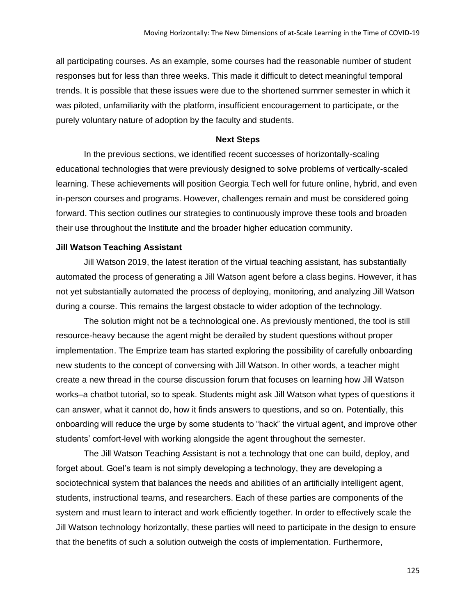all participating courses. As an example, some courses had the reasonable number of student responses but for less than three weeks. This made it difficult to detect meaningful temporal trends. It is possible that these issues were due to the shortened summer semester in which it was piloted, unfamiliarity with the platform, insufficient encouragement to participate, or the purely voluntary nature of adoption by the faculty and students.

#### **Next Steps**

In the previous sections, we identified recent successes of horizontally-scaling educational technologies that were previously designed to solve problems of vertically-scaled learning. These achievements will position Georgia Tech well for future online, hybrid, and even in-person courses and programs. However, challenges remain and must be considered going forward. This section outlines our strategies to continuously improve these tools and broaden their use throughout the Institute and the broader higher education community.

## **Jill Watson Teaching Assistant**

Jill Watson 2019, the latest iteration of the virtual teaching assistant, has substantially automated the process of generating a Jill Watson agent before a class begins. However, it has not yet substantially automated the process of deploying, monitoring, and analyzing Jill Watson during a course. This remains the largest obstacle to wider adoption of the technology.

The solution might not be a technological one. As previously mentioned, the tool is still resource-heavy because the agent might be derailed by student questions without proper implementation. The Emprize team has started exploring the possibility of carefully onboarding new students to the concept of conversing with Jill Watson. In other words, a teacher might create a new thread in the course discussion forum that focuses on learning how Jill Watson works–a chatbot tutorial, so to speak. Students might ask Jill Watson what types of questions it can answer, what it cannot do, how it finds answers to questions, and so on. Potentially, this onboarding will reduce the urge by some students to "hack" the virtual agent, and improve other students' comfort-level with working alongside the agent throughout the semester.

The Jill Watson Teaching Assistant is not a technology that one can build, deploy, and forget about. Goel's team is not simply developing a technology, they are developing a sociotechnical system that balances the needs and abilities of an artificially intelligent agent, students, instructional teams, and researchers. Each of these parties are components of the system and must learn to interact and work efficiently together. In order to effectively scale the Jill Watson technology horizontally, these parties will need to participate in the design to ensure that the benefits of such a solution outweigh the costs of implementation. Furthermore,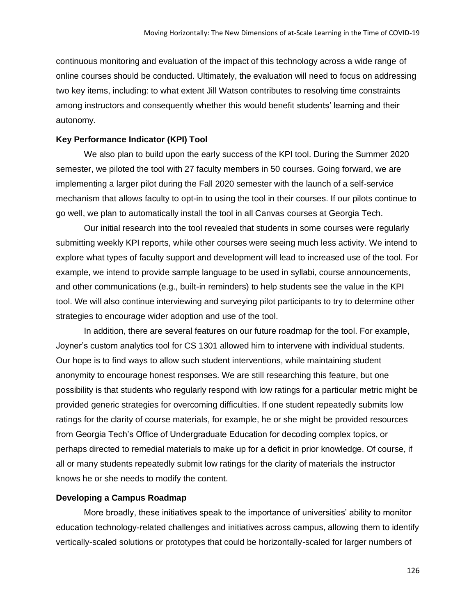continuous monitoring and evaluation of the impact of this technology across a wide range of online courses should be conducted. Ultimately, the evaluation will need to focus on addressing two key items, including: to what extent Jill Watson contributes to resolving time constraints among instructors and consequently whether this would benefit students' learning and their autonomy.

### **Key Performance Indicator (KPI) Tool**

We also plan to build upon the early success of the KPI tool. During the Summer 2020 semester, we piloted the tool with 27 faculty members in 50 courses. Going forward, we are implementing a larger pilot during the Fall 2020 semester with the launch of a self-service mechanism that allows faculty to opt-in to using the tool in their courses. If our pilots continue to go well, we plan to automatically install the tool in all Canvas courses at Georgia Tech.

Our initial research into the tool revealed that students in some courses were regularly submitting weekly KPI reports, while other courses were seeing much less activity. We intend to explore what types of faculty support and development will lead to increased use of the tool. For example, we intend to provide sample language to be used in syllabi, course announcements, and other communications (e.g., built-in reminders) to help students see the value in the KPI tool. We will also continue interviewing and surveying pilot participants to try to determine other strategies to encourage wider adoption and use of the tool.

In addition, there are several features on our future roadmap for the tool. For example, Joyner's custom analytics tool for CS 1301 allowed him to intervene with individual students. Our hope is to find ways to allow such student interventions, while maintaining student anonymity to encourage honest responses. We are still researching this feature, but one possibility is that students who regularly respond with low ratings for a particular metric might be provided generic strategies for overcoming difficulties. If one student repeatedly submits low ratings for the clarity of course materials, for example, he or she might be provided resources from Georgia Tech's Office of Undergraduate Education for decoding complex topics, or perhaps directed to remedial materials to make up for a deficit in prior knowledge. Of course, if all or many students repeatedly submit low ratings for the clarity of materials the instructor knows he or she needs to modify the content.

## **Developing a Campus Roadmap**

More broadly, these initiatives speak to the importance of universities' ability to monitor education technology-related challenges and initiatives across campus, allowing them to identify vertically-scaled solutions or prototypes that could be horizontally-scaled for larger numbers of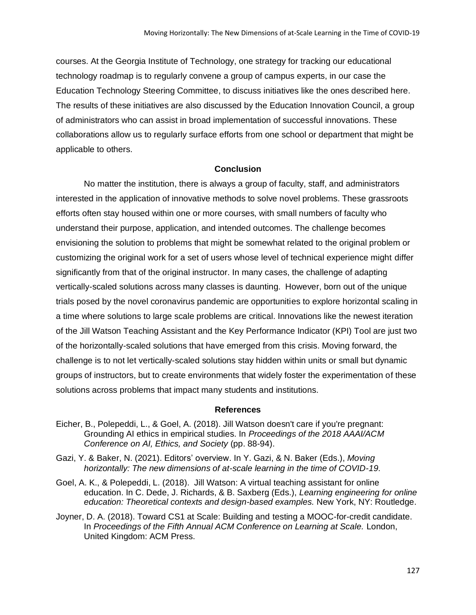courses. At the Georgia Institute of Technology, one strategy for tracking our educational technology roadmap is to regularly convene a group of campus experts, in our case the Education Technology Steering Committee, to discuss initiatives like the ones described here. The results of these initiatives are also discussed by the Education Innovation Council, a group of administrators who can assist in broad implementation of successful innovations. These collaborations allow us to regularly surface efforts from one school or department that might be applicable to others.

## **Conclusion**

No matter the institution, there is always a group of faculty, staff, and administrators interested in the application of innovative methods to solve novel problems. These grassroots efforts often stay housed within one or more courses, with small numbers of faculty who understand their purpose, application, and intended outcomes. The challenge becomes envisioning the solution to problems that might be somewhat related to the original problem or customizing the original work for a set of users whose level of technical experience might differ significantly from that of the original instructor. In many cases, the challenge of adapting vertically-scaled solutions across many classes is daunting. However, born out of the unique trials posed by the novel coronavirus pandemic are opportunities to explore horizontal scaling in a time where solutions to large scale problems are critical. Innovations like the newest iteration of the Jill Watson Teaching Assistant and the Key Performance Indicator (KPI) Tool are just two of the horizontally-scaled solutions that have emerged from this crisis. Moving forward, the challenge is to not let vertically-scaled solutions stay hidden within units or small but dynamic groups of instructors, but to create environments that widely foster the experimentation of these solutions across problems that impact many students and institutions.

## **References**

- Eicher, B., Polepeddi, L., & Goel, A. (2018). Jill Watson doesn't care if you're pregnant: Grounding AI ethics in empirical studies. In *Proceedings of the 2018 AAAI/ACM Conference on AI, Ethics, and Society* (pp. 88-94).
- Gazi, Y. & Baker, N. (2021). Editors' overview. In Y. Gazi, & N. Baker (Eds.), *Moving horizontally: The new dimensions of at-scale learning in the time of COVID-19.*
- Goel, A. K., & Polepeddi, L. (2018). Jill Watson: A virtual teaching assistant for online education. In C. Dede, J. Richards, & B. Saxberg (Eds.), *Learning engineering for online education: Theoretical contexts and design-based examples.* New York, NY: Routledge.
- Joyner, D. A. (2018). Toward CS1 at Scale: Building and testing a MOOC-for-credit candidate. In *Proceedings of the Fifth Annual ACM Conference on Learning at Scale.* London, United Kingdom: ACM Press.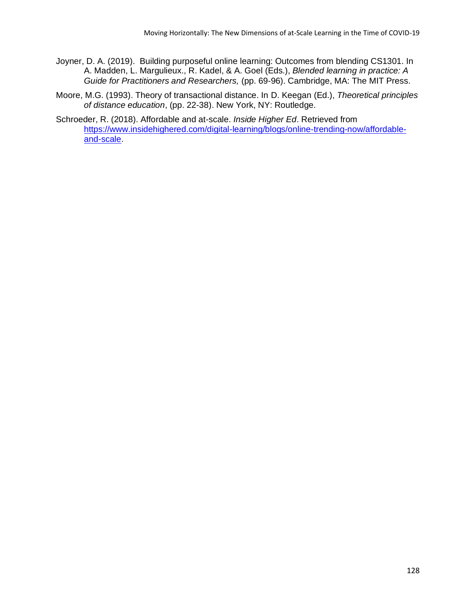- Joyner, D. A. (2019). Building purposeful online learning: Outcomes from blending CS1301. In A. Madden, L. Margulieux., R. Kadel, & A. Goel (Eds.), *Blended learning in practice: A Guide for Practitioners and Researchers,* (pp. 69-96). Cambridge, MA: The MIT Press.
- Moore, M.G. (1993). Theory of transactional distance. In D. Keegan (Ed.), *Theoretical principles of distance education*, (pp. 22-38). New York, NY: Routledge.
- Schroeder, R. (2018). Affordable and at-scale. *Inside Higher Ed*. Retrieved from [https://www.insidehighered.com/digital-learning/blogs/online-trending-now/affordable](https://www.insidehighered.com/digital-learning/blogs/online-trending-now/affordable-and-scale)[and-scale.](https://www.insidehighered.com/digital-learning/blogs/online-trending-now/affordable-and-scale)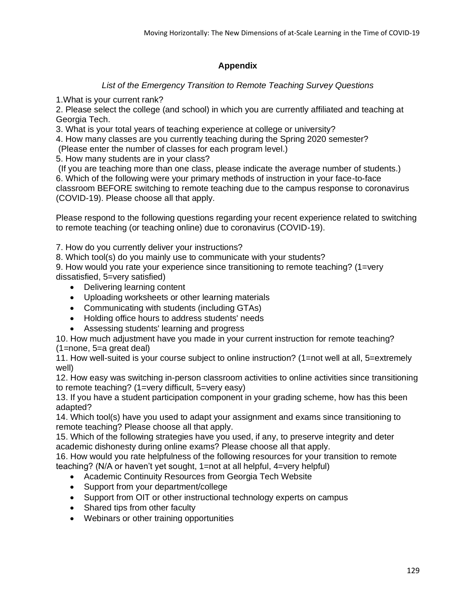# **Appendix**

# *List of the Emergency Transition to Remote Teaching Survey Questions*

1.What is your current rank?

2. Please select the college (and school) in which you are currently affiliated and teaching at Georgia Tech.

3. What is your total years of teaching experience at college or university?

4. How many classes are you currently teaching during the Spring 2020 semester?

(Please enter the number of classes for each program level.)

5. How many students are in your class?

(If you are teaching more than one class, please indicate the average number of students.) 6. Which of the following were your primary methods of instruction in your face-to-face classroom BEFORE switching to remote teaching due to the campus response to coronavirus (COVID-19). Please choose all that apply.

Please respond to the following questions regarding your recent experience related to switching to remote teaching (or teaching online) due to coronavirus (COVID-19).

7. How do you currently deliver your instructions?

8. Which tool(s) do you mainly use to communicate with your students?

9. How would you rate your experience since transitioning to remote teaching? (1=very dissatisfied, 5=very satisfied)

- Delivering learning content
- Uploading worksheets or other learning materials
- Communicating with students (including GTAs)
- Holding office hours to address students' needs
- Assessing students' learning and progress

10. How much adjustment have you made in your current instruction for remote teaching? (1=none, 5=a great deal)

11. How well-suited is your course subject to online instruction? (1=not well at all, 5=extremely well)

12. How easy was switching in-person classroom activities to online activities since transitioning to remote teaching? (1=very difficult, 5=very easy)

13. If you have a student participation component in your grading scheme, how has this been adapted?

14. Which tool(s) have you used to adapt your assignment and exams since transitioning to remote teaching? Please choose all that apply.

15. Which of the following strategies have you used, if any, to preserve integrity and deter academic dishonesty during online exams? Please choose all that apply.

16. How would you rate helpfulness of the following resources for your transition to remote teaching? (N/A or haven't yet sought, 1=not at all helpful, 4=very helpful)

- Academic Continuity Resources from Georgia Tech Website
- Support from your department/college
- Support from OIT or other instructional technology experts on campus
- Shared tips from other faculty
- Webinars or other training opportunities